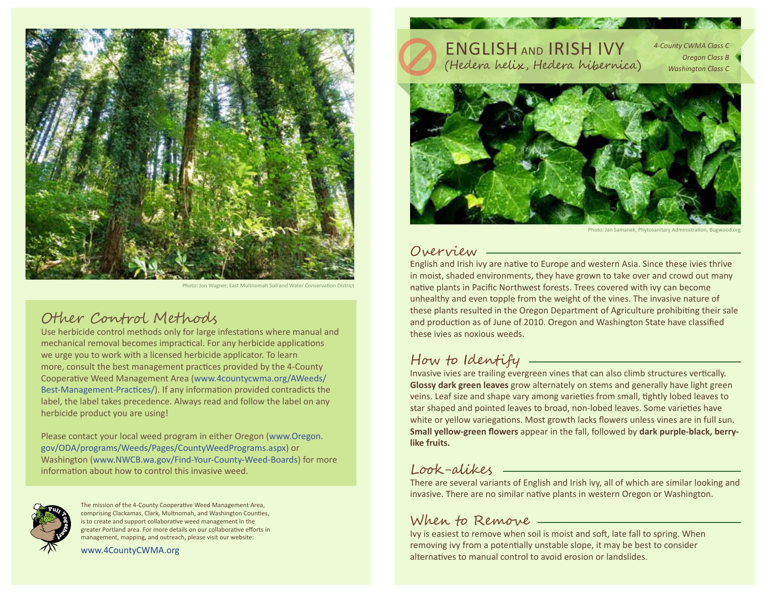

Photo: Jon Wagner, East Multnomah Soil and Water Conservation District

## Other Control Methods

Use herbicide control methods only for large infestations where manual and mechanical removal becomes impractical. For any herbicide applications we urge you to work with a licensed herbicide applicator. To learn more, consult the best management practices provided by the 4-County Cooperative Weed Management Area (www.4countycwma.org/AWeeds/ Best-Management-Practices/). If any information provided contradicts the label, the label takes precedence. Always read and follow the label on any herbicide product you are using!

Please contact your local weed program in either Oregon (www.Oregon. gov/ODA/programs/Weeds/Pages/CountyWeedPrograms.aspx) or Washington (www.NWCB.wa.gov/Find-Your-County-Weed-Boards) for more information about how to control this invasive weed.



The mission of the 4-County Cooperative Weed Management Area, comprising Clackamas, Clark, Multnomah, and Washington Counties, is to create and support collaborative weed management in the greater Portland area. For more details on our collaborative efforts in management, mapping, and outreach, please visit our website:

www.4CountyCWMA.org

#### ENGLISH AND IRISH IVY (Hedera helix, Hedera hibernica) *4-County CWMA Class C Oregon Class B Washington Class C*



Photo: Jan Samanek, Phytosanitary Administration, Bugwood.org

### Overview

English and Irish ivy are native to Europe and western Asia. Since these ivies thrive in moist, shaded environments, they have grown to take over and crowd out many native plants in Pacific Northwest forests. Trees covered with ivy can become unhealthy and even topple from the weight of the vines. The invasive nature of these plants resulted in the Oregon Department of Agriculture prohibiting their sale and production as of June of 2010. Oregon and Washington State have classified these ivies as noxious weeds.

# How to Identify

Invasive ivies are trailing evergreen vines that can also climb structures vertically. **Glossy dark green leaves** grow alternately on stems and generally have light green veins. Leaf size and shape vary among varieties from small, tightly lobed leaves to star shaped and pointed leaves to broad, non-lobed leaves. Some varieties have white or yellow variegations. Most growth lacks flowers unless vines are in full sun. **Small yellow-green flowers** appear in the fall, followed by **dark purple-black, berrylike fruits.**

#### Look-alikes

There are several variants of English and Irish ivy, all of which are similar looking and invasive. There are no similar native plants in western Oregon or Washington.

#### When to Remove

Ivy is easiest to remove when soil is moist and soft, late fall to spring. When removing ivy from a potentially unstable slope, it may be best to consider alternatives to manual control to avoid erosion or landslides.